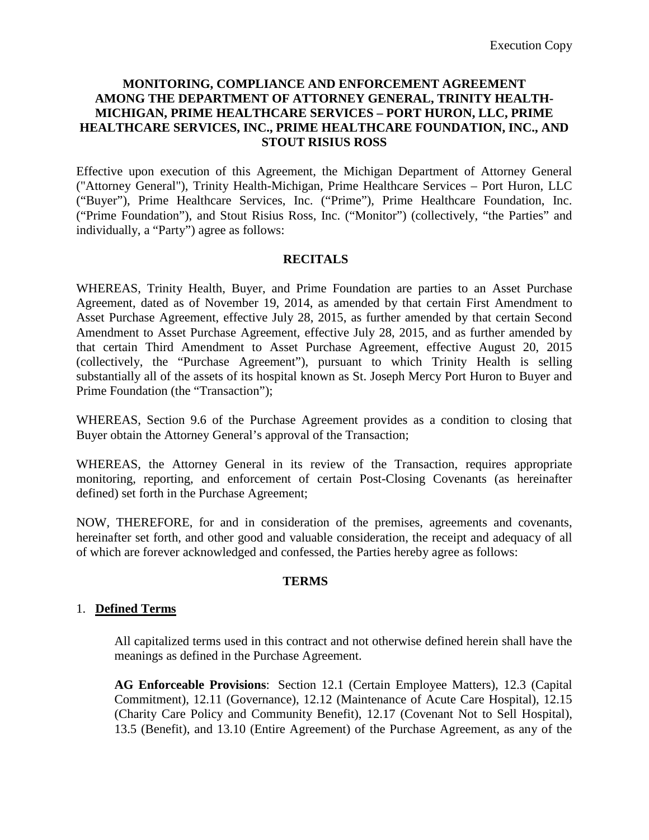## **MONITORING, COMPLIANCE AND ENFORCEMENT AGREEMENT AMONG THE DEPARTMENT OF ATTORNEY GENERAL, TRINITY HEALTH-MICHIGAN, PRIME HEALTHCARE SERVICES – PORT HURON, LLC, PRIME HEALTHCARE SERVICES, INC., PRIME HEALTHCARE FOUNDATION, INC., AND STOUT RISIUS ROSS**

Effective upon execution of this Agreement, the Michigan Department of Attorney General ("Attorney General"), Trinity Health-Michigan, Prime Healthcare Services – Port Huron, LLC ("Buyer"), Prime Healthcare Services, Inc. ("Prime"), Prime Healthcare Foundation, Inc. ("Prime Foundation"), and Stout Risius Ross, Inc. ("Monitor") (collectively, "the Parties" and individually, a "Party") agree as follows:

#### **RECITALS**

WHEREAS, Trinity Health, Buyer, and Prime Foundation are parties to an Asset Purchase Agreement, dated as of November 19, 2014, as amended by that certain First Amendment to Asset Purchase Agreement, effective July 28, 2015, as further amended by that certain Second Amendment to Asset Purchase Agreement, effective July 28, 2015, and as further amended by that certain Third Amendment to Asset Purchase Agreement, effective August 20, 2015 (collectively, the "Purchase Agreement"), pursuant to which Trinity Health is selling substantially all of the assets of its hospital known as St. Joseph Mercy Port Huron to Buyer and Prime Foundation (the "Transaction");

WHEREAS, Section 9.6 of the Purchase Agreement provides as a condition to closing that Buyer obtain the Attorney General's approval of the Transaction;

WHEREAS, the Attorney General in its review of the Transaction, requires appropriate monitoring, reporting, and enforcement of certain Post-Closing Covenants (as hereinafter defined) set forth in the Purchase Agreement;

NOW, THEREFORE, for and in consideration of the premises, agreements and covenants, hereinafter set forth, and other good and valuable consideration, the receipt and adequacy of all of which are forever acknowledged and confessed, the Parties hereby agree as follows:

#### **TERMS**

#### 1. **Defined Terms**

All capitalized terms used in this contract and not otherwise defined herein shall have the meanings as defined in the Purchase Agreement.

**AG Enforceable Provisions**: Section 12.1 (Certain Employee Matters), 12.3 (Capital Commitment), 12.11 (Governance), 12.12 (Maintenance of Acute Care Hospital), 12.15 (Charity Care Policy and Community Benefit), 12.17 (Covenant Not to Sell Hospital), 13.5 (Benefit), and 13.10 (Entire Agreement) of the Purchase Agreement, as any of the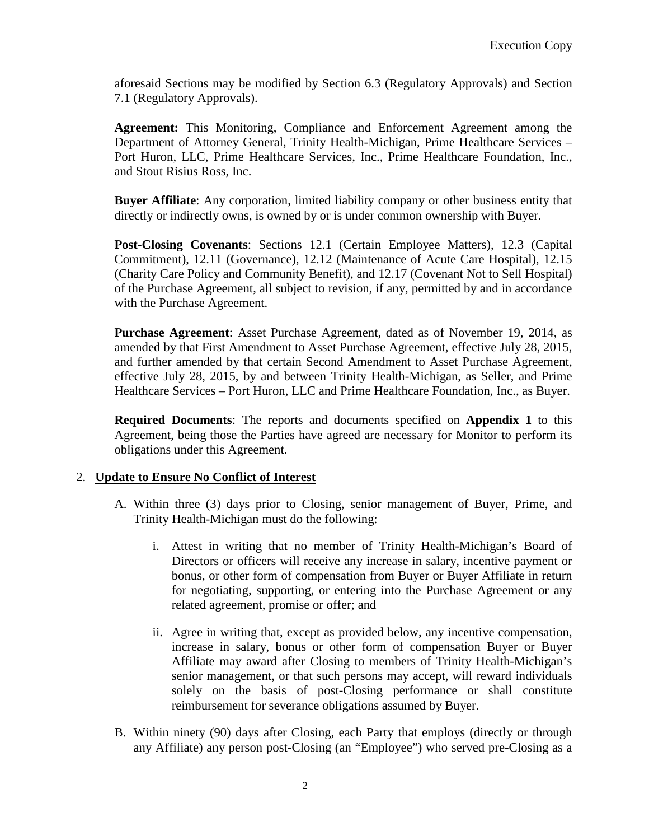aforesaid Sections may be modified by Section 6.3 (Regulatory Approvals) and Section 7.1 (Regulatory Approvals).

**Agreement:** This Monitoring, Compliance and Enforcement Agreement among the Department of Attorney General, Trinity Health-Michigan, Prime Healthcare Services – Port Huron, LLC, Prime Healthcare Services, Inc., Prime Healthcare Foundation, Inc., and Stout Risius Ross, Inc.

**Buyer Affiliate**: Any corporation, limited liability company or other business entity that directly or indirectly owns, is owned by or is under common ownership with Buyer.

**Post-Closing Covenants**: Sections 12.1 (Certain Employee Matters), 12.3 (Capital Commitment), 12.11 (Governance), 12.12 (Maintenance of Acute Care Hospital), 12.15 (Charity Care Policy and Community Benefit), and 12.17 (Covenant Not to Sell Hospital) of the Purchase Agreement, all subject to revision, if any, permitted by and in accordance with the Purchase Agreement.

**Purchase Agreement**: Asset Purchase Agreement, dated as of November 19, 2014, as amended by that First Amendment to Asset Purchase Agreement, effective July 28, 2015, and further amended by that certain Second Amendment to Asset Purchase Agreement, effective July 28, 2015, by and between Trinity Health-Michigan, as Seller, and Prime Healthcare Services – Port Huron, LLC and Prime Healthcare Foundation, Inc., as Buyer.

**Required Documents**: The reports and documents specified on **Appendix 1** to this Agreement, being those the Parties have agreed are necessary for Monitor to perform its obligations under this Agreement.

# 2. **Update to Ensure No Conflict of Interest**

- A. Within three (3) days prior to Closing, senior management of Buyer, Prime, and Trinity Health-Michigan must do the following:
	- i. Attest in writing that no member of Trinity Health-Michigan's Board of Directors or officers will receive any increase in salary, incentive payment or bonus, or other form of compensation from Buyer or Buyer Affiliate in return for negotiating, supporting, or entering into the Purchase Agreement or any related agreement, promise or offer; and
	- ii. Agree in writing that, except as provided below, any incentive compensation, increase in salary, bonus or other form of compensation Buyer or Buyer Affiliate may award after Closing to members of Trinity Health-Michigan's senior management, or that such persons may accept, will reward individuals solely on the basis of post-Closing performance or shall constitute reimbursement for severance obligations assumed by Buyer.
- B. Within ninety (90) days after Closing, each Party that employs (directly or through any Affiliate) any person post-Closing (an "Employee") who served pre-Closing as a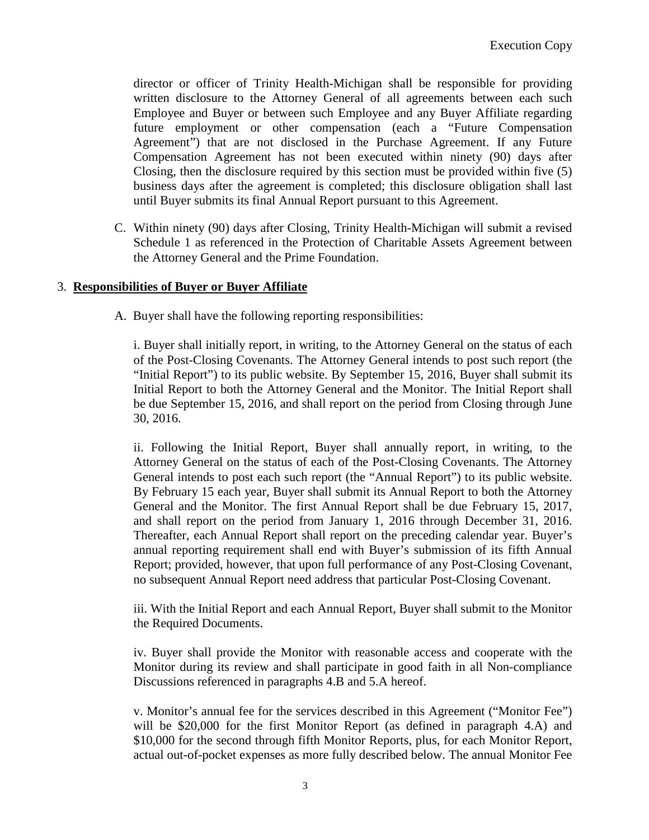director or officer of Trinity Health-Michigan shall be responsible for providing written disclosure to the Attorney General of all agreements between each such Employee and Buyer or between such Employee and any Buyer Affiliate regarding future employment or other compensation (each a "Future Compensation Agreement") that are not disclosed in the Purchase Agreement. If any Future Compensation Agreement has not been executed within ninety (90) days after Closing, then the disclosure required by this section must be provided within five (5) business days after the agreement is completed; this disclosure obligation shall last until Buyer submits its final Annual Report pursuant to this Agreement.

C. Within ninety (90) days after Closing, Trinity Health-Michigan will submit a revised Schedule 1 as referenced in the Protection of Charitable Assets Agreement between the Attorney General and the Prime Foundation.

#### 3. **Responsibilities of Buyer or Buyer Affiliate**

A. Buyer shall have the following reporting responsibilities:

i. Buyer shall initially report, in writing, to the Attorney General on the status of each of the Post-Closing Covenants. The Attorney General intends to post such report (the "Initial Report") to its public website. By September 15, 2016, Buyer shall submit its Initial Report to both the Attorney General and the Monitor. The Initial Report shall be due September 15, 2016, and shall report on the period from Closing through June 30, 2016.

ii. Following the Initial Report, Buyer shall annually report, in writing, to the Attorney General on the status of each of the Post-Closing Covenants. The Attorney General intends to post each such report (the "Annual Report") to its public website. By February 15 each year, Buyer shall submit its Annual Report to both the Attorney General and the Monitor. The first Annual Report shall be due February 15, 2017, and shall report on the period from January 1, 2016 through December 31, 2016. Thereafter, each Annual Report shall report on the preceding calendar year. Buyer's annual reporting requirement shall end with Buyer's submission of its fifth Annual Report; provided, however, that upon full performance of any Post-Closing Covenant, no subsequent Annual Report need address that particular Post-Closing Covenant.

iii. With the Initial Report and each Annual Report, Buyer shall submit to the Monitor the Required Documents.

iv. Buyer shall provide the Monitor with reasonable access and cooperate with the Monitor during its review and shall participate in good faith in all Non-compliance Discussions referenced in paragraphs 4.B and 5.A hereof.

v. Monitor's annual fee for the services described in this Agreement ("Monitor Fee") will be \$20,000 for the first Monitor Report (as defined in paragraph 4.A) and \$10,000 for the second through fifth Monitor Reports, plus, for each Monitor Report, actual out-of-pocket expenses as more fully described below. The annual Monitor Fee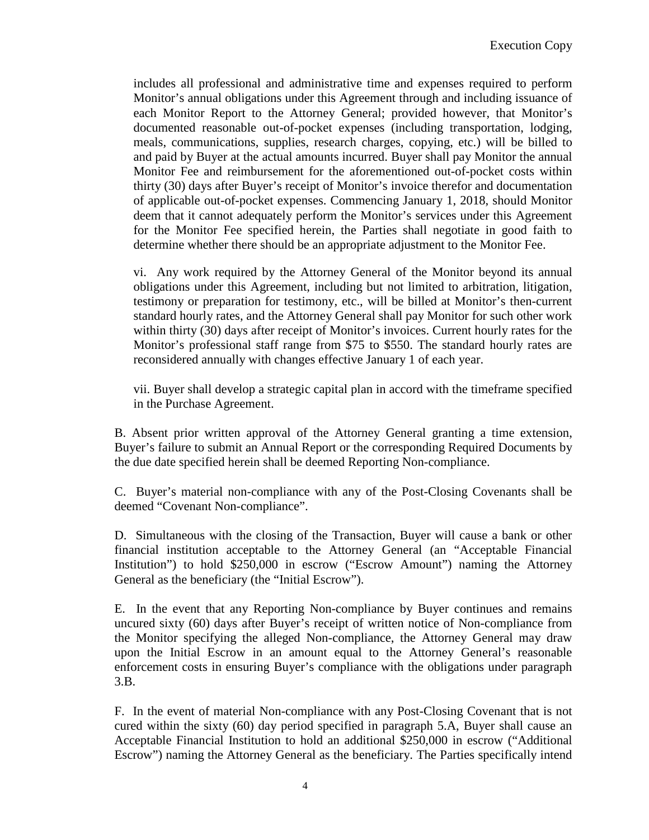includes all professional and administrative time and expenses required to perform Monitor's annual obligations under this Agreement through and including issuance of each Monitor Report to the Attorney General; provided however, that Monitor's documented reasonable out-of-pocket expenses (including transportation, lodging, meals, communications, supplies, research charges, copying, etc.) will be billed to and paid by Buyer at the actual amounts incurred. Buyer shall pay Monitor the annual Monitor Fee and reimbursement for the aforementioned out-of-pocket costs within thirty (30) days after Buyer's receipt of Monitor's invoice therefor and documentation of applicable out-of-pocket expenses. Commencing January 1, 2018, should Monitor deem that it cannot adequately perform the Monitor's services under this Agreement for the Monitor Fee specified herein, the Parties shall negotiate in good faith to determine whether there should be an appropriate adjustment to the Monitor Fee.

vi. Any work required by the Attorney General of the Monitor beyond its annual obligations under this Agreement, including but not limited to arbitration, litigation, testimony or preparation for testimony, etc., will be billed at Monitor's then-current standard hourly rates, and the Attorney General shall pay Monitor for such other work within thirty (30) days after receipt of Monitor's invoices. Current hourly rates for the Monitor's professional staff range from \$75 to \$550. The standard hourly rates are reconsidered annually with changes effective January 1 of each year.

vii. Buyer shall develop a strategic capital plan in accord with the timeframe specified in the Purchase Agreement.

B. Absent prior written approval of the Attorney General granting a time extension, Buyer's failure to submit an Annual Report or the corresponding Required Documents by the due date specified herein shall be deemed Reporting Non-compliance.

C. Buyer's material non-compliance with any of the Post-Closing Covenants shall be deemed "Covenant Non-compliance".

D. Simultaneous with the closing of the Transaction, Buyer will cause a bank or other financial institution acceptable to the Attorney General (an "Acceptable Financial Institution") to hold \$250,000 in escrow ("Escrow Amount") naming the Attorney General as the beneficiary (the "Initial Escrow").

E. In the event that any Reporting Non-compliance by Buyer continues and remains uncured sixty (60) days after Buyer's receipt of written notice of Non-compliance from the Monitor specifying the alleged Non-compliance, the Attorney General may draw upon the Initial Escrow in an amount equal to the Attorney General's reasonable enforcement costs in ensuring Buyer's compliance with the obligations under paragraph 3.B.

F. In the event of material Non-compliance with any Post-Closing Covenant that is not cured within the sixty (60) day period specified in paragraph 5.A, Buyer shall cause an Acceptable Financial Institution to hold an additional \$250,000 in escrow ("Additional Escrow") naming the Attorney General as the beneficiary. The Parties specifically intend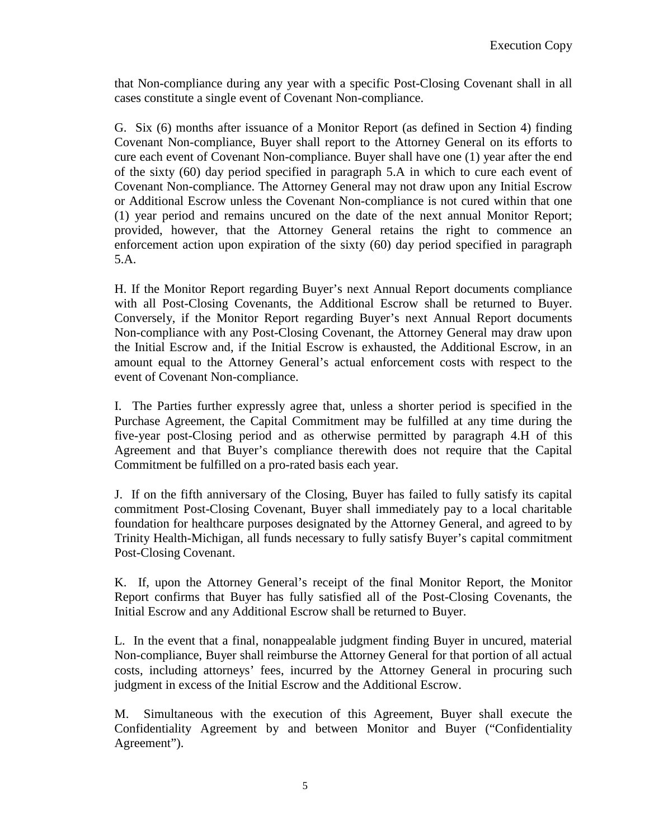that Non-compliance during any year with a specific Post-Closing Covenant shall in all cases constitute a single event of Covenant Non-compliance.

G. Six (6) months after issuance of a Monitor Report (as defined in Section 4) finding Covenant Non-compliance, Buyer shall report to the Attorney General on its efforts to cure each event of Covenant Non-compliance. Buyer shall have one (1) year after the end of the sixty (60) day period specified in paragraph 5.A in which to cure each event of Covenant Non-compliance. The Attorney General may not draw upon any Initial Escrow or Additional Escrow unless the Covenant Non-compliance is not cured within that one (1) year period and remains uncured on the date of the next annual Monitor Report; provided, however, that the Attorney General retains the right to commence an enforcement action upon expiration of the sixty (60) day period specified in paragraph 5.A.

H. If the Monitor Report regarding Buyer's next Annual Report documents compliance with all Post-Closing Covenants, the Additional Escrow shall be returned to Buyer. Conversely, if the Monitor Report regarding Buyer's next Annual Report documents Non-compliance with any Post-Closing Covenant, the Attorney General may draw upon the Initial Escrow and, if the Initial Escrow is exhausted, the Additional Escrow, in an amount equal to the Attorney General's actual enforcement costs with respect to the event of Covenant Non-compliance.

I. The Parties further expressly agree that, unless a shorter period is specified in the Purchase Agreement, the Capital Commitment may be fulfilled at any time during the five-year post-Closing period and as otherwise permitted by paragraph 4.H of this Agreement and that Buyer's compliance therewith does not require that the Capital Commitment be fulfilled on a pro-rated basis each year.

J. If on the fifth anniversary of the Closing, Buyer has failed to fully satisfy its capital commitment Post-Closing Covenant, Buyer shall immediately pay to a local charitable foundation for healthcare purposes designated by the Attorney General, and agreed to by Trinity Health-Michigan, all funds necessary to fully satisfy Buyer's capital commitment Post-Closing Covenant.

K. If, upon the Attorney General's receipt of the final Monitor Report, the Monitor Report confirms that Buyer has fully satisfied all of the Post-Closing Covenants, the Initial Escrow and any Additional Escrow shall be returned to Buyer.

L. In the event that a final, nonappealable judgment finding Buyer in uncured, material Non-compliance, Buyer shall reimburse the Attorney General for that portion of all actual costs, including attorneys' fees, incurred by the Attorney General in procuring such judgment in excess of the Initial Escrow and the Additional Escrow.

M. Simultaneous with the execution of this Agreement, Buyer shall execute the Confidentiality Agreement by and between Monitor and Buyer ("Confidentiality Agreement").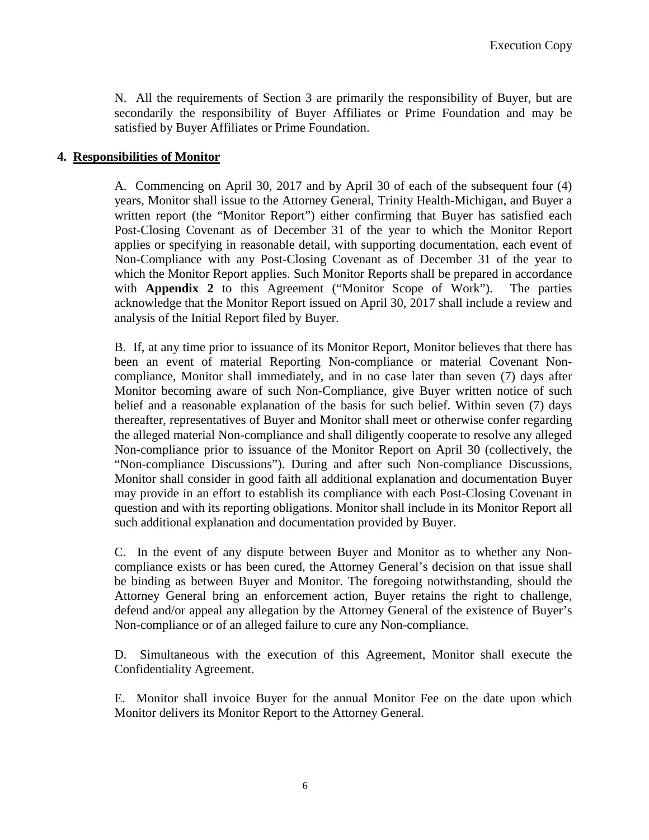N. All the requirements of Section 3 are primarily the responsibility of Buyer, but are secondarily the responsibility of Buyer Affiliates or Prime Foundation and may be satisfied by Buyer Affiliates or Prime Foundation.

## **4. Responsibilities of Monitor**

A. Commencing on April 30, 2017 and by April 30 of each of the subsequent four (4) years, Monitor shall issue to the Attorney General, Trinity Health-Michigan, and Buyer a written report (the "Monitor Report") either confirming that Buyer has satisfied each Post-Closing Covenant as of December 31 of the year to which the Monitor Report applies or specifying in reasonable detail, with supporting documentation, each event of Non-Compliance with any Post-Closing Covenant as of December 31 of the year to which the Monitor Report applies. Such Monitor Reports shall be prepared in accordance with **Appendix 2** to this Agreement ("Monitor Scope of Work"). The parties acknowledge that the Monitor Report issued on April 30, 2017 shall include a review and analysis of the Initial Report filed by Buyer.

B. If, at any time prior to issuance of its Monitor Report, Monitor believes that there has been an event of material Reporting Non-compliance or material Covenant Noncompliance, Monitor shall immediately, and in no case later than seven (7) days after Monitor becoming aware of such Non-Compliance, give Buyer written notice of such belief and a reasonable explanation of the basis for such belief. Within seven (7) days thereafter, representatives of Buyer and Monitor shall meet or otherwise confer regarding the alleged material Non-compliance and shall diligently cooperate to resolve any alleged Non-compliance prior to issuance of the Monitor Report on April 30 (collectively, the "Non-compliance Discussions"). During and after such Non-compliance Discussions, Monitor shall consider in good faith all additional explanation and documentation Buyer may provide in an effort to establish its compliance with each Post-Closing Covenant in question and with its reporting obligations. Monitor shall include in its Monitor Report all such additional explanation and documentation provided by Buyer.

C. In the event of any dispute between Buyer and Monitor as to whether any Noncompliance exists or has been cured, the Attorney General's decision on that issue shall be binding as between Buyer and Monitor. The foregoing notwithstanding, should the Attorney General bring an enforcement action, Buyer retains the right to challenge, defend and/or appeal any allegation by the Attorney General of the existence of Buyer's Non-compliance or of an alleged failure to cure any Non-compliance.

D. Simultaneous with the execution of this Agreement, Monitor shall execute the Confidentiality Agreement.

E. Monitor shall invoice Buyer for the annual Monitor Fee on the date upon which Monitor delivers its Monitor Report to the Attorney General.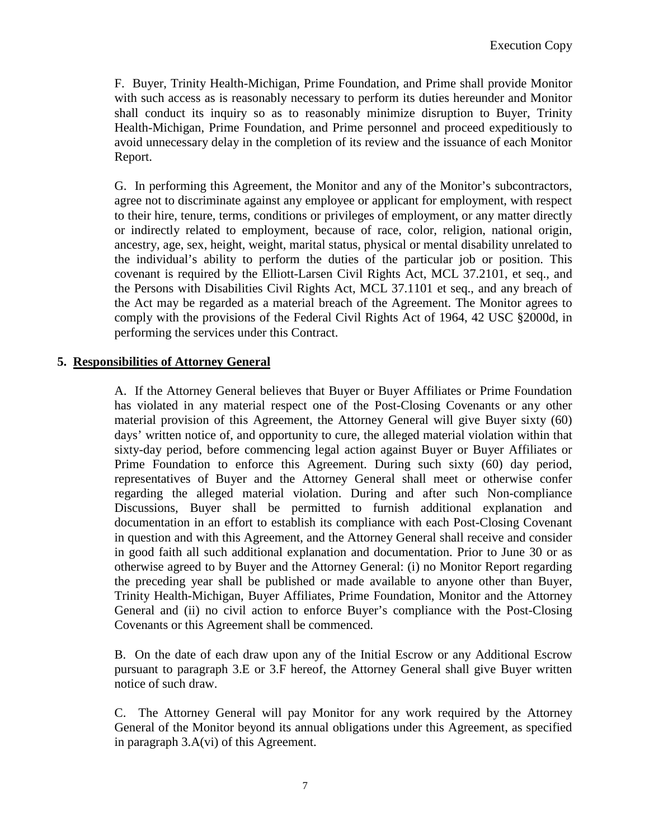F. Buyer, Trinity Health-Michigan, Prime Foundation, and Prime shall provide Monitor with such access as is reasonably necessary to perform its duties hereunder and Monitor shall conduct its inquiry so as to reasonably minimize disruption to Buyer, Trinity Health-Michigan, Prime Foundation, and Prime personnel and proceed expeditiously to avoid unnecessary delay in the completion of its review and the issuance of each Monitor Report.

G. In performing this Agreement, the Monitor and any of the Monitor's subcontractors, agree not to discriminate against any employee or applicant for employment, with respect to their hire, tenure, terms, conditions or privileges of employment, or any matter directly or indirectly related to employment, because of race, color, religion, national origin, ancestry, age, sex, height, weight, marital status, physical or mental disability unrelated to the individual's ability to perform the duties of the particular job or position. This covenant is required by the Elliott-Larsen Civil Rights Act, MCL 37.2101, et seq., and the Persons with Disabilities Civil Rights Act, MCL 37.1101 et seq., and any breach of the Act may be regarded as a material breach of the Agreement. The Monitor agrees to comply with the provisions of the Federal Civil Rights Act of 1964, 42 USC §2000d, in performing the services under this Contract.

## **5. Responsibilities of Attorney General**

A. If the Attorney General believes that Buyer or Buyer Affiliates or Prime Foundation has violated in any material respect one of the Post-Closing Covenants or any other material provision of this Agreement, the Attorney General will give Buyer sixty (60) days' written notice of, and opportunity to cure, the alleged material violation within that sixty-day period, before commencing legal action against Buyer or Buyer Affiliates or Prime Foundation to enforce this Agreement. During such sixty (60) day period, representatives of Buyer and the Attorney General shall meet or otherwise confer regarding the alleged material violation. During and after such Non-compliance Discussions, Buyer shall be permitted to furnish additional explanation and documentation in an effort to establish its compliance with each Post-Closing Covenant in question and with this Agreement, and the Attorney General shall receive and consider in good faith all such additional explanation and documentation. Prior to June 30 or as otherwise agreed to by Buyer and the Attorney General: (i) no Monitor Report regarding the preceding year shall be published or made available to anyone other than Buyer, Trinity Health-Michigan, Buyer Affiliates, Prime Foundation, Monitor and the Attorney General and (ii) no civil action to enforce Buyer's compliance with the Post-Closing Covenants or this Agreement shall be commenced.

B. On the date of each draw upon any of the Initial Escrow or any Additional Escrow pursuant to paragraph 3.E or 3.F hereof, the Attorney General shall give Buyer written notice of such draw.

C. The Attorney General will pay Monitor for any work required by the Attorney General of the Monitor beyond its annual obligations under this Agreement, as specified in paragraph 3.A(vi) of this Agreement.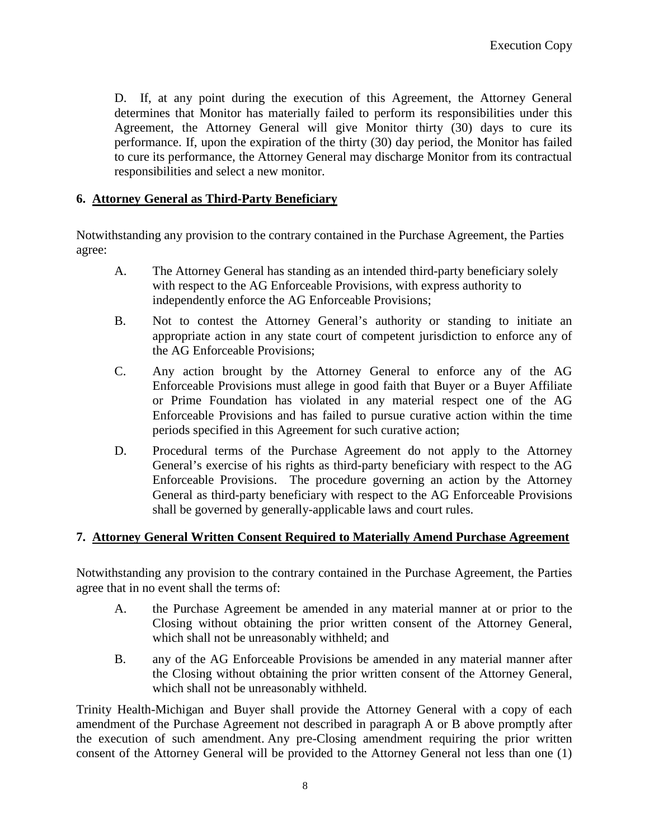D. If, at any point during the execution of this Agreement, the Attorney General determines that Monitor has materially failed to perform its responsibilities under this Agreement, the Attorney General will give Monitor thirty (30) days to cure its performance. If, upon the expiration of the thirty (30) day period, the Monitor has failed to cure its performance, the Attorney General may discharge Monitor from its contractual responsibilities and select a new monitor.

## **6. Attorney General as Third-Party Beneficiary**

Notwithstanding any provision to the contrary contained in the Purchase Agreement, the Parties agree:

- A. The Attorney General has standing as an intended third-party beneficiary solely with respect to the AG Enforceable Provisions, with express authority to independently enforce the AG Enforceable Provisions;
- B. Not to contest the Attorney General's authority or standing to initiate an appropriate action in any state court of competent jurisdiction to enforce any of the AG Enforceable Provisions;
- C. Any action brought by the Attorney General to enforce any of the AG Enforceable Provisions must allege in good faith that Buyer or a Buyer Affiliate or Prime Foundation has violated in any material respect one of the AG Enforceable Provisions and has failed to pursue curative action within the time periods specified in this Agreement for such curative action;
- D. Procedural terms of the Purchase Agreement do not apply to the Attorney General's exercise of his rights as third-party beneficiary with respect to the AG Enforceable Provisions. The procedure governing an action by the Attorney General as third-party beneficiary with respect to the AG Enforceable Provisions shall be governed by generally-applicable laws and court rules.

# **7. Attorney General Written Consent Required to Materially Amend Purchase Agreement**

Notwithstanding any provision to the contrary contained in the Purchase Agreement, the Parties agree that in no event shall the terms of:

- A. the Purchase Agreement be amended in any material manner at or prior to the Closing without obtaining the prior written consent of the Attorney General, which shall not be unreasonably withheld; and
- B. any of the AG Enforceable Provisions be amended in any material manner after the Closing without obtaining the prior written consent of the Attorney General, which shall not be unreasonably withheld.

Trinity Health-Michigan and Buyer shall provide the Attorney General with a copy of each amendment of the Purchase Agreement not described in paragraph A or B above promptly after the execution of such amendment. Any pre-Closing amendment requiring the prior written consent of the Attorney General will be provided to the Attorney General not less than one (1)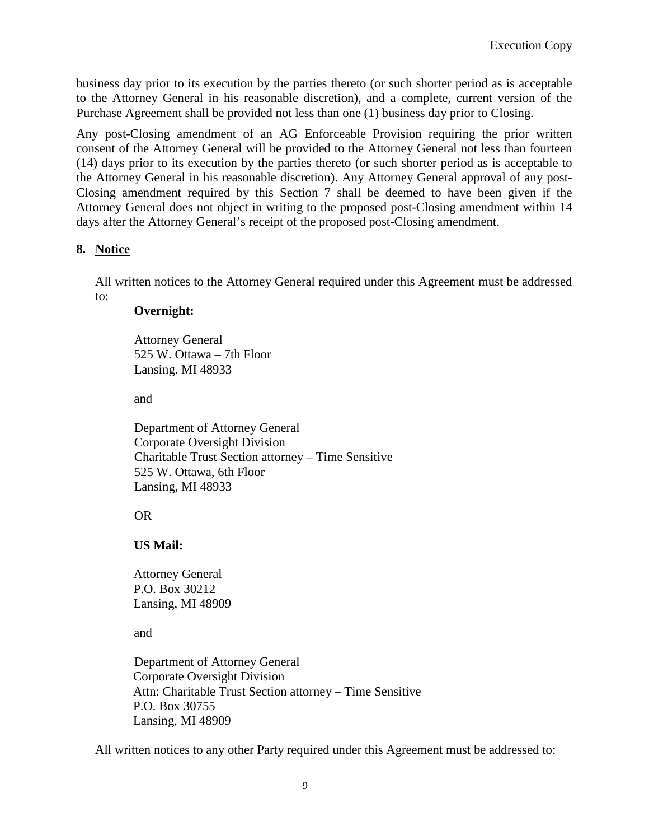business day prior to its execution by the parties thereto (or such shorter period as is acceptable to the Attorney General in his reasonable discretion), and a complete, current version of the Purchase Agreement shall be provided not less than one (1) business day prior to Closing.

Any post-Closing amendment of an AG Enforceable Provision requiring the prior written consent of the Attorney General will be provided to the Attorney General not less than fourteen (14) days prior to its execution by the parties thereto (or such shorter period as is acceptable to the Attorney General in his reasonable discretion). Any Attorney General approval of any post-Closing amendment required by this Section 7 shall be deemed to have been given if the Attorney General does not object in writing to the proposed post-Closing amendment within 14 days after the Attorney General's receipt of the proposed post-Closing amendment.

## **8. Notice**

All written notices to the Attorney General required under this Agreement must be addressed to:

#### **Overnight:**

Attorney General 525 W. Ottawa – 7th Floor Lansing. MI 48933

and

Department of Attorney General Corporate Oversight Division Charitable Trust Section attorney – Time Sensitive 525 W. Ottawa, 6th Floor Lansing, MI 48933

OR

# **US Mail:**

Attorney General P.O. Box 30212 Lansing, MI 48909

and

Department of Attorney General Corporate Oversight Division Attn: Charitable Trust Section attorney – Time Sensitive P.O. Box 30755 Lansing, MI 48909

All written notices to any other Party required under this Agreement must be addressed to: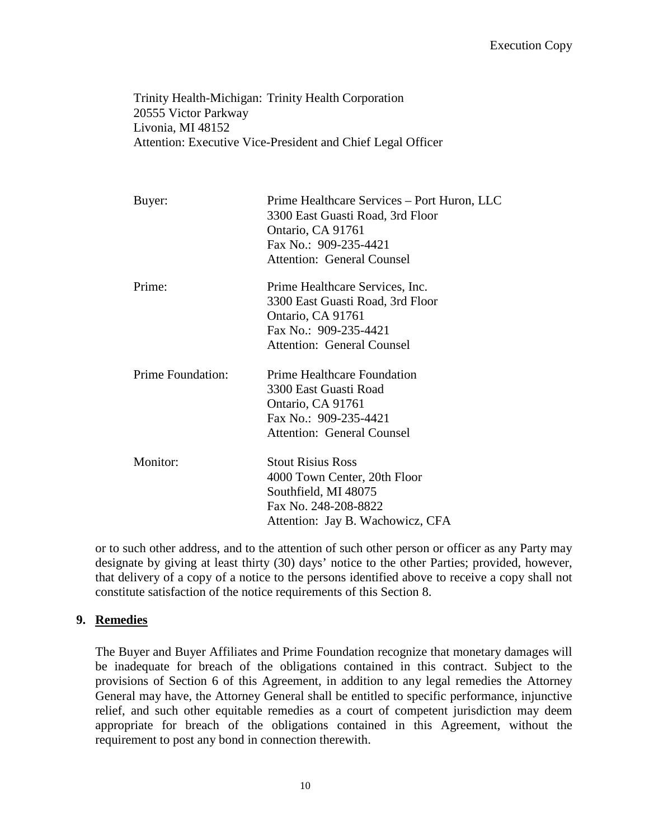Trinity Health-Michigan: Trinity Health Corporation 20555 Victor Parkway Livonia, MI 48152 Attention: Executive Vice-President and Chief Legal Officer

| Buyer:                   | Prime Healthcare Services - Port Huron, LLC<br>3300 East Guasti Road, 3rd Floor<br>Ontario, CA 91761<br>Fax No.: 909-235-4421<br><b>Attention: General Counsel</b> |
|--------------------------|--------------------------------------------------------------------------------------------------------------------------------------------------------------------|
| Prime:                   | Prime Healthcare Services, Inc.<br>3300 East Guasti Road, 3rd Floor<br>Ontario, CA 91761<br>Fax No.: 909-235-4421<br><b>Attention: General Counsel</b>             |
| <b>Prime Foundation:</b> | <b>Prime Healthcare Foundation</b><br>3300 East Guasti Road<br>Ontario, CA 91761<br>Fax No.: 909-235-4421<br><b>Attention: General Counsel</b>                     |
| Monitor:                 | <b>Stout Risius Ross</b><br>4000 Town Center, 20th Floor<br>Southfield, MI 48075<br>Fax No. 248-208-8822<br>Attention: Jay B. Wachowicz, CFA                       |

or to such other address, and to the attention of such other person or officer as any Party may designate by giving at least thirty (30) days' notice to the other Parties; provided, however, that delivery of a copy of a notice to the persons identified above to receive a copy shall not constitute satisfaction of the notice requirements of this Section 8.

#### **9. Remedies**

The Buyer and Buyer Affiliates and Prime Foundation recognize that monetary damages will be inadequate for breach of the obligations contained in this contract. Subject to the provisions of Section 6 of this Agreement, in addition to any legal remedies the Attorney General may have, the Attorney General shall be entitled to specific performance, injunctive relief, and such other equitable remedies as a court of competent jurisdiction may deem appropriate for breach of the obligations contained in this Agreement, without the requirement to post any bond in connection therewith.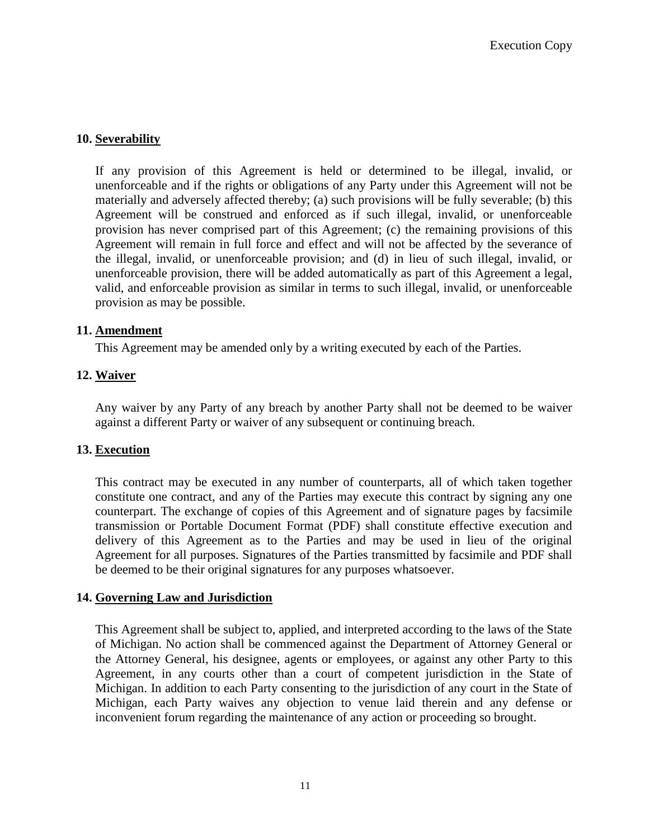## **10. Severability**

If any provision of this Agreement is held or determined to be illegal, invalid, or unenforceable and if the rights or obligations of any Party under this Agreement will not be materially and adversely affected thereby; (a) such provisions will be fully severable; (b) this Agreement will be construed and enforced as if such illegal, invalid, or unenforceable provision has never comprised part of this Agreement; (c) the remaining provisions of this Agreement will remain in full force and effect and will not be affected by the severance of the illegal, invalid, or unenforceable provision; and (d) in lieu of such illegal, invalid, or unenforceable provision, there will be added automatically as part of this Agreement a legal, valid, and enforceable provision as similar in terms to such illegal, invalid, or unenforceable provision as may be possible.

#### **11. Amendment**

This Agreement may be amended only by a writing executed by each of the Parties.

## **12. Waiver**

Any waiver by any Party of any breach by another Party shall not be deemed to be waiver against a different Party or waiver of any subsequent or continuing breach.

#### **13. Execution**

This contract may be executed in any number of counterparts, all of which taken together constitute one contract, and any of the Parties may execute this contract by signing any one counterpart. The exchange of copies of this Agreement and of signature pages by facsimile transmission or Portable Document Format (PDF) shall constitute effective execution and delivery of this Agreement as to the Parties and may be used in lieu of the original Agreement for all purposes. Signatures of the Parties transmitted by facsimile and PDF shall be deemed to be their original signatures for any purposes whatsoever.

#### **14. Governing Law and Jurisdiction**

This Agreement shall be subject to, applied, and interpreted according to the laws of the State of Michigan. No action shall be commenced against the Department of Attorney General or the Attorney General, his designee, agents or employees, or against any other Party to this Agreement, in any courts other than a court of competent jurisdiction in the State of Michigan. In addition to each Party consenting to the jurisdiction of any court in the State of Michigan, each Party waives any objection to venue laid therein and any defense or inconvenient forum regarding the maintenance of any action or proceeding so brought.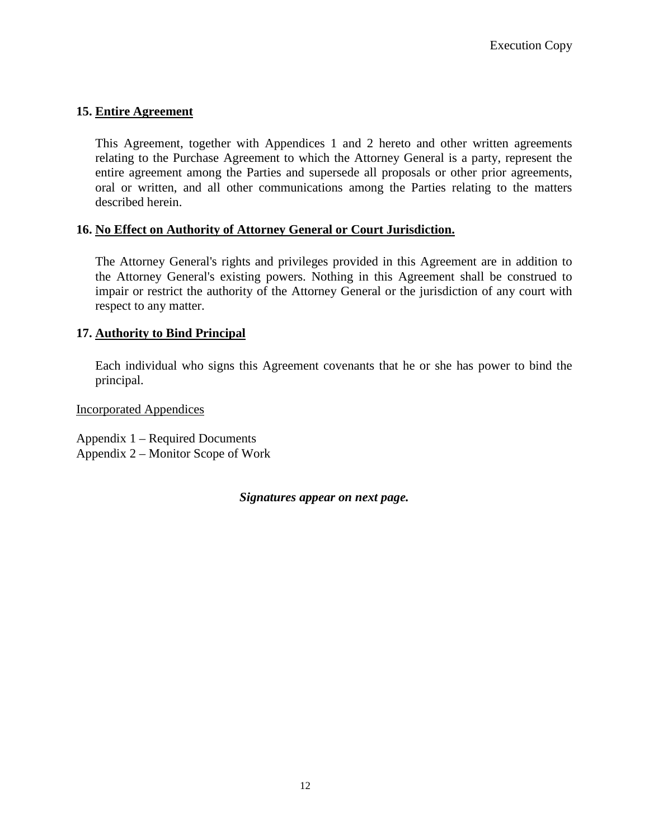# **15. Entire Agreement**

This Agreement, together with Appendices 1 and 2 hereto and other written agreements relating to the Purchase Agreement to which the Attorney General is a party, represent the entire agreement among the Parties and supersede all proposals or other prior agreements, oral or written, and all other communications among the Parties relating to the matters described herein.

#### **16. No Effect on Authority of Attorney General or Court Jurisdiction.**

The Attorney General's rights and privileges provided in this Agreement are in addition to the Attorney General's existing powers. Nothing in this Agreement shall be construed to impair or restrict the authority of the Attorney General or the jurisdiction of any court with respect to any matter.

## **17. Authority to Bind Principal**

Each individual who signs this Agreement covenants that he or she has power to bind the principal.

Incorporated Appendices

Appendix 1 – Required Documents Appendix 2 – Monitor Scope of Work

*Signatures appear on next page.*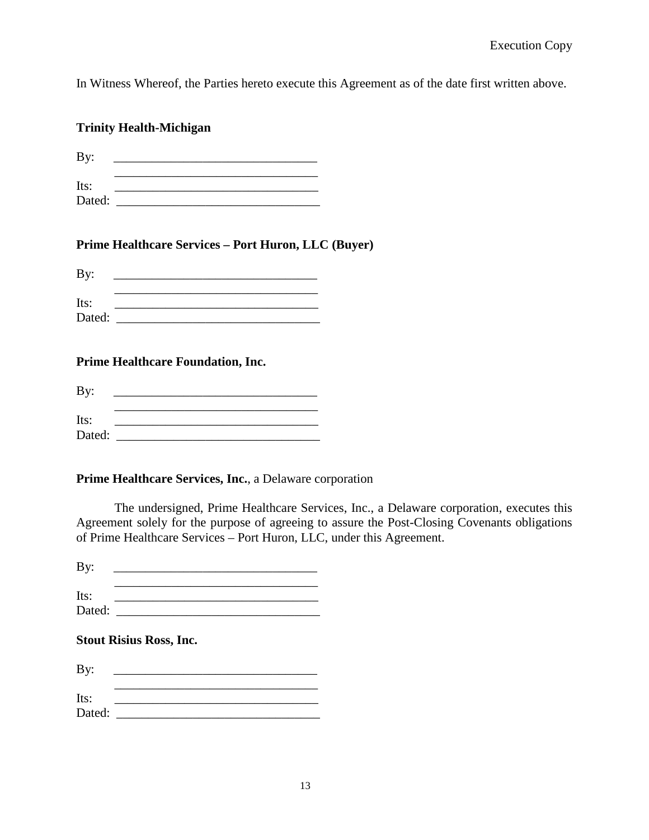In Witness Whereof, the Parties hereto execute this Agreement as of the date first written above.

|                | <b>Trinity Health-Michigan</b>                                                                                                                                                                                                                                                                                                                                                                                  |                                                                                                                                                                                          |
|----------------|-----------------------------------------------------------------------------------------------------------------------------------------------------------------------------------------------------------------------------------------------------------------------------------------------------------------------------------------------------------------------------------------------------------------|------------------------------------------------------------------------------------------------------------------------------------------------------------------------------------------|
| By:            | <u> 1989 - Johann John Stein, market fan it ferstjer fan it ferstjer fan it ferstjer fan it ferstjer fan it fers</u>                                                                                                                                                                                                                                                                                            |                                                                                                                                                                                          |
| Its:           | <u> 1989 - Johann Stein, marwolaethau a bhann an t-Amhair ann an t-Amhair an t-Amhair an t-Amhair an t-Amhair an</u><br><u> 1989 - Johann Barn, mars ann an t-Amhain an t-Amhain an t-Amhain an t-Amhain an t-Amhain an t-Amhain an t-A</u>                                                                                                                                                                     |                                                                                                                                                                                          |
|                | Prime Healthcare Services - Port Huron, LLC (Buyer)                                                                                                                                                                                                                                                                                                                                                             |                                                                                                                                                                                          |
| By:            | <u> 1989 - Johann Stoff, amerikansk politiker (</u> † 1908)                                                                                                                                                                                                                                                                                                                                                     |                                                                                                                                                                                          |
| Its:           |                                                                                                                                                                                                                                                                                                                                                                                                                 |                                                                                                                                                                                          |
|                | <b>Prime Healthcare Foundation, Inc.</b>                                                                                                                                                                                                                                                                                                                                                                        |                                                                                                                                                                                          |
| By:            |                                                                                                                                                                                                                                                                                                                                                                                                                 |                                                                                                                                                                                          |
| Its:           | <u> 1989 - Johann Barbara, martxa alemaniar arg</u><br><u> 1989 - Johann John Stone, mars et al. 1989 - John Stone, mars et al. 1989 - John Stone, mars et al. 1989 - Joh</u><br>Dated: the contract of the contract of the contract of the contract of the contract of the contract of the contract of the contract of the contract of the contract of the contract of the contract of the contract of the con |                                                                                                                                                                                          |
|                | Prime Healthcare Services, Inc., a Delaware corporation                                                                                                                                                                                                                                                                                                                                                         |                                                                                                                                                                                          |
|                | of Prime Healthcare Services - Port Huron, LLC, under this Agreement.                                                                                                                                                                                                                                                                                                                                           | The undersigned, Prime Healthcare Services, Inc., a Delaware corporation, executes this<br>Agreement solely for the purpose of agreeing to assure the Post-Closing Covenants obligations |
| By:            |                                                                                                                                                                                                                                                                                                                                                                                                                 |                                                                                                                                                                                          |
| Its:<br>Dated: | <u> 1989 - Johann Barbara, margaret eta idazlea (h. 1989).</u>                                                                                                                                                                                                                                                                                                                                                  |                                                                                                                                                                                          |

# **Stout Risius Ross, Inc.**

| By:    |  |  |
|--------|--|--|
| Its:   |  |  |
| Dated: |  |  |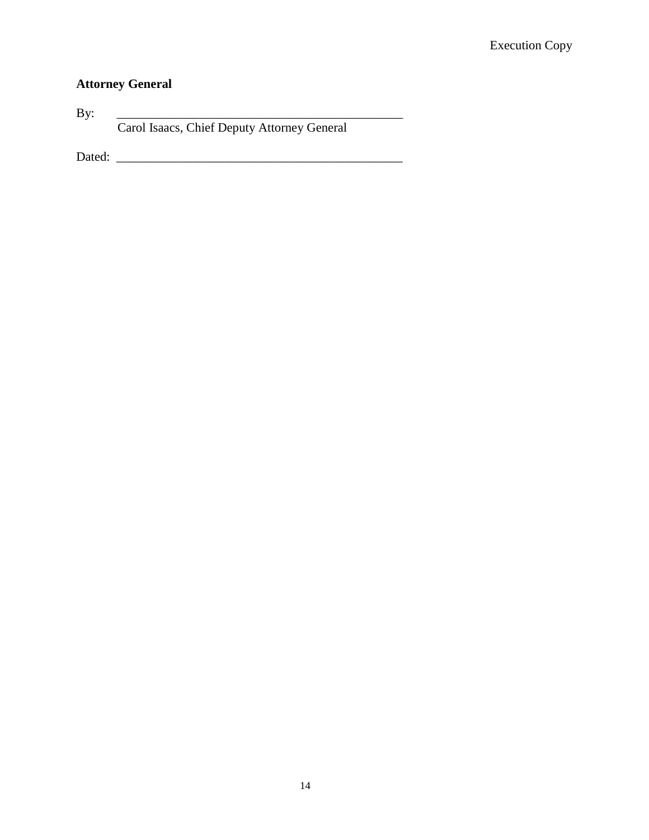# **Attorney General**

By: \_\_\_\_\_\_\_\_\_\_\_\_\_\_\_\_\_\_\_\_\_\_\_\_\_\_\_\_\_\_\_\_\_\_\_\_\_\_\_\_\_\_\_\_\_ Carol Isaacs, Chief Deputy Attorney General

Dated: \_\_\_\_\_\_\_\_\_\_\_\_\_\_\_\_\_\_\_\_\_\_\_\_\_\_\_\_\_\_\_\_\_\_\_\_\_\_\_\_\_\_\_\_\_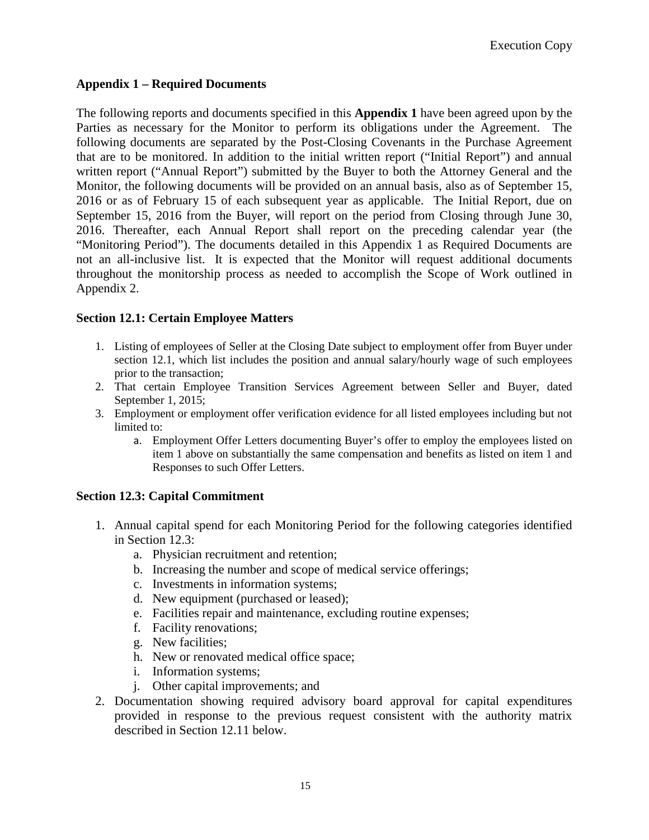# **Appendix 1 – Required Documents**

The following reports and documents specified in this **Appendix 1** have been agreed upon by the Parties as necessary for the Monitor to perform its obligations under the Agreement. The following documents are separated by the Post-Closing Covenants in the Purchase Agreement that are to be monitored. In addition to the initial written report ("Initial Report") and annual written report ("Annual Report") submitted by the Buyer to both the Attorney General and the Monitor, the following documents will be provided on an annual basis, also as of September 15, 2016 or as of February 15 of each subsequent year as applicable. The Initial Report, due on September 15, 2016 from the Buyer, will report on the period from Closing through June 30, 2016. Thereafter, each Annual Report shall report on the preceding calendar year (the "Monitoring Period"). The documents detailed in this Appendix 1 as Required Documents are not an all-inclusive list. It is expected that the Monitor will request additional documents throughout the monitorship process as needed to accomplish the Scope of Work outlined in Appendix 2.

# **Section 12.1: Certain Employee Matters**

- 1. Listing of employees of Seller at the Closing Date subject to employment offer from Buyer under section 12.1, which list includes the position and annual salary/hourly wage of such employees prior to the transaction;
- 2. That certain Employee Transition Services Agreement between Seller and Buyer, dated September 1, 2015;
- 3. Employment or employment offer verification evidence for all listed employees including but not limited to:
	- a. Employment Offer Letters documenting Buyer's offer to employ the employees listed on item 1 above on substantially the same compensation and benefits as listed on item 1 and Responses to such Offer Letters.

# **Section 12.3: Capital Commitment**

- 1. Annual capital spend for each Monitoring Period for the following categories identified in Section 12.3:
	- a. Physician recruitment and retention;
	- b. Increasing the number and scope of medical service offerings;
	- c. Investments in information systems;
	- d. New equipment (purchased or leased);
	- e. Facilities repair and maintenance, excluding routine expenses;
	- f. Facility renovations;
	- g. New facilities;
	- h. New or renovated medical office space;
	- i. Information systems;
	- j. Other capital improvements; and
- 2. Documentation showing required advisory board approval for capital expenditures provided in response to the previous request consistent with the authority matrix described in Section 12.11 below.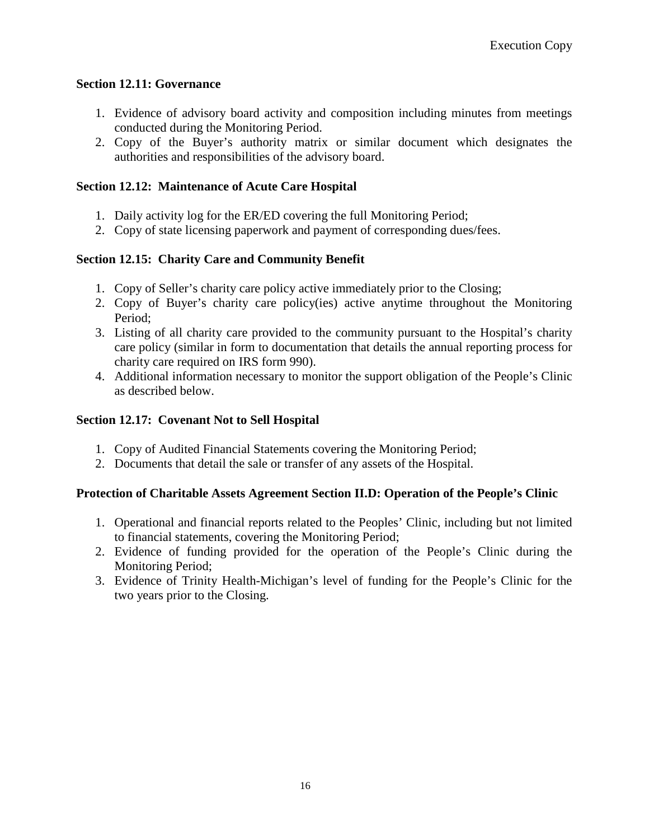## **Section 12.11: Governance**

- 1. Evidence of advisory board activity and composition including minutes from meetings conducted during the Monitoring Period.
- 2. Copy of the Buyer's authority matrix or similar document which designates the authorities and responsibilities of the advisory board.

## **Section 12.12: Maintenance of Acute Care Hospital**

- 1. Daily activity log for the ER/ED covering the full Monitoring Period;
- 2. Copy of state licensing paperwork and payment of corresponding dues/fees.

## **Section 12.15: Charity Care and Community Benefit**

- 1. Copy of Seller's charity care policy active immediately prior to the Closing;
- 2. Copy of Buyer's charity care policy(ies) active anytime throughout the Monitoring Period;
- 3. Listing of all charity care provided to the community pursuant to the Hospital's charity care policy (similar in form to documentation that details the annual reporting process for charity care required on IRS form 990).
- 4. Additional information necessary to monitor the support obligation of the People's Clinic as described below.

## **Section 12.17: Covenant Not to Sell Hospital**

- 1. Copy of Audited Financial Statements covering the Monitoring Period;
- 2. Documents that detail the sale or transfer of any assets of the Hospital.

#### **Protection of Charitable Assets Agreement Section II.D: Operation of the People's Clinic**

- 1. Operational and financial reports related to the Peoples' Clinic, including but not limited to financial statements, covering the Monitoring Period;
- 2. Evidence of funding provided for the operation of the People's Clinic during the Monitoring Period;
- 3. Evidence of Trinity Health-Michigan's level of funding for the People's Clinic for the two years prior to the Closing.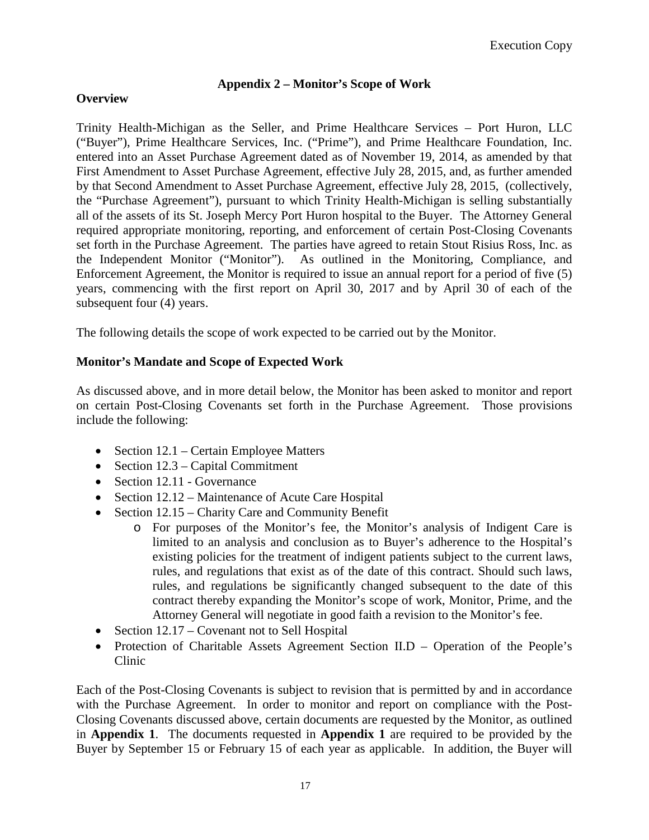# **Appendix 2 – Monitor's Scope of Work**

# **Overview**

Trinity Health-Michigan as the Seller, and Prime Healthcare Services – Port Huron, LLC ("Buyer"), Prime Healthcare Services, Inc. ("Prime"), and Prime Healthcare Foundation, Inc. entered into an Asset Purchase Agreement dated as of November 19, 2014, as amended by that First Amendment to Asset Purchase Agreement, effective July 28, 2015, and, as further amended by that Second Amendment to Asset Purchase Agreement, effective July 28, 2015, (collectively, the "Purchase Agreement"), pursuant to which Trinity Health-Michigan is selling substantially all of the assets of its St. Joseph Mercy Port Huron hospital to the Buyer. The Attorney General required appropriate monitoring, reporting, and enforcement of certain Post-Closing Covenants set forth in the Purchase Agreement. The parties have agreed to retain Stout Risius Ross, Inc. as the Independent Monitor ("Monitor"). As outlined in the Monitoring, Compliance, and Enforcement Agreement, the Monitor is required to issue an annual report for a period of five (5) years, commencing with the first report on April 30, 2017 and by April 30 of each of the subsequent four (4) years.

The following details the scope of work expected to be carried out by the Monitor.

# **Monitor's Mandate and Scope of Expected Work**

As discussed above, and in more detail below, the Monitor has been asked to monitor and report on certain Post-Closing Covenants set forth in the Purchase Agreement. Those provisions include the following:

- Section 12.1 Certain Employee Matters
- Section 12.3 Capital Commitment
- Section 12.11 Governance
- Section 12.12 Maintenance of Acute Care Hospital
- Section 12.15 Charity Care and Community Benefit
	- o For purposes of the Monitor's fee, the Monitor's analysis of Indigent Care is limited to an analysis and conclusion as to Buyer's adherence to the Hospital's existing policies for the treatment of indigent patients subject to the current laws, rules, and regulations that exist as of the date of this contract. Should such laws, rules, and regulations be significantly changed subsequent to the date of this contract thereby expanding the Monitor's scope of work, Monitor, Prime, and the Attorney General will negotiate in good faith a revision to the Monitor's fee.
- Section 12.17 Covenant not to Sell Hospital
- Protection of Charitable Assets Agreement Section II.D Operation of the People's Clinic

Each of the Post-Closing Covenants is subject to revision that is permitted by and in accordance with the Purchase Agreement. In order to monitor and report on compliance with the Post-Closing Covenants discussed above, certain documents are requested by the Monitor, as outlined in **Appendix 1**. The documents requested in **Appendix 1** are required to be provided by the Buyer by September 15 or February 15 of each year as applicable. In addition, the Buyer will